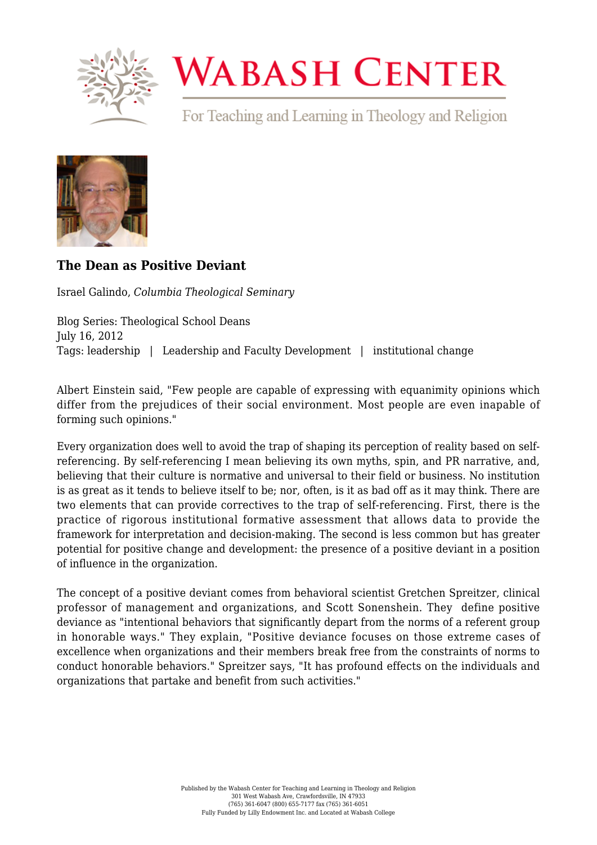

## **WABASH CENTER**

For Teaching and Learning in Theology and Religion



## **[The Dean as Positive Deviant](https://www.wabashcenter.wabash.edu/2012/07/the-dean-as-positive-deviant/)**

Israel Galindo, *Columbia Theological Seminary*

Blog Series: Theological School Deans July 16, 2012 Tags: leadership | Leadership and Faculty Development | institutional change

Albert Einstein said, "Few people are capable of expressing with equanimity opinions which differ from the prejudices of their social environment. Most people are even inapable of forming such opinions."

Every organization does well to avoid the trap of shaping its perception of reality based on selfreferencing. By self-referencing I mean believing its own myths, spin, and PR narrative, and, believing that their culture is normative and universal to their field or business. No institution is as great as it tends to believe itself to be; nor, often, is it as bad off as it may think. There are two elements that can provide correctives to the trap of self-referencing. First, there is the practice of rigorous institutional formative assessment that allows data to provide the framework for interpretation and decision-making. The second is less common but has greater potential for positive change and development: the presence of a positive deviant in a position of influence in the organization.

The concept of a positive deviant comes from behavioral scientist Gretchen Spreitzer, clinical professor of management and organizations, and Scott Sonenshein. They define positive deviance as "intentional behaviors that significantly depart from the norms of a referent group in honorable ways." They explain, "Positive deviance focuses on those extreme cases of excellence when organizations and their members break free from the constraints of norms to conduct honorable behaviors." Spreitzer says, "It has profound effects on the individuals and organizations that partake and benefit from such activities."